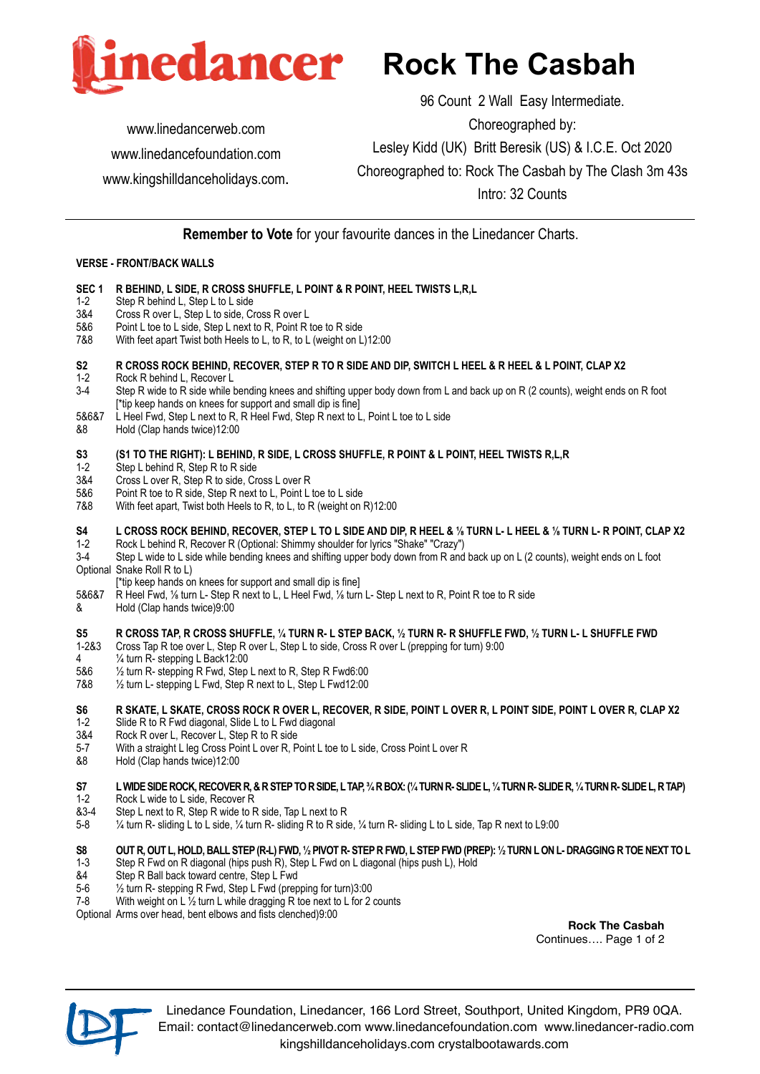

[www.linedancerweb.com](http://www.linedancerweb.com)  [www.linedancefoundation.com](http://www.linedancerweb.com) [www.kingshilldanceholidays.com](http://www.kingshilldanceholidays.com).

96 Count 2 Wall Easy Intermediate. Choreographed by: Lesley Kidd (UK) Britt Beresik (US) & I.C.E. Oct 2020 Choreographed to: Rock The Casbah by The Clash 3m 43s Intro: 32 Counts

**Remember to Vote** for your favourite dances in the Linedancer Charts.

### **VERSE - FRONT/BACK WALLS**

- **SEC 1 R BEHIND, L SIDE, R CROSS SHUFFLE, L POINT & R POINT, HEEL TWISTS L,R,L**
- 1-2 Step R behind L, Step L to L side
- 3&4 Cross R over L, Step L to side, Cross R over L<br>5&6 Point L toe to L side, Step L next to R, Point R
- Point L toe to L side, Step L next to R, Point R toe to R side
- 7&8 With feet apart Twist both Heels to L, to R, to L (weight on L)12:00

### **S2 R CROSS ROCK BEHIND, RECOVER, STEP R TO R SIDE AND DIP, SWITCH L HEEL & R HEEL & L POINT, CLAP X2**

- 1-2 Rock R behind L, Recover L<br>3-4 Step R wide to R side while I
- Step R wide to R side while bending knees and shifting upper body down from L and back up on R (2 counts), weight ends on R foot [\*tip keep hands on knees for support and small dip is fine]
- L Heel Fwd, Step L next to R, R Heel Fwd, Step R next to L, Point L toe to L side
- &8 Hold (Clap hands twice)12:00

# **S3** (S1 TO THE RIGHT): L BEHIND, R SIDE, L CROSS SHUFFLE, R POINT & L POINT, HEEL TWISTS R, L, R <br>1-2 Step L behind R. Step R to R side

- 1-2 Step L behind R, Step R to R side<br>3&4 Cross L over R. Step R to side. Cr
- Cross L over R, Step R to side, Cross L over R
- 5&6 Point R toe to R side, Step R next to L, Point L toe to L side<br>7&8 With feet apart. Twist both Heels to R, to L, to R (weight on )
- With feet apart, Twist both Heels to R, to L, to R (weight on R)12:00

# **S4 L CROSS ROCK BEHIND, RECOVER, STEP L TO L SIDE AND DIP, R HEEL & ⅛ TURN L- L HEEL & ⅛ TURN L- R POINT, CLAP X2**

1-2 Rock L behind R, Recover R (Optional: Shimmy shoulder for lyrics "Shake" "Crazy")

Step L wide to L side while bending knees and shifting upper body down from R and back up on L (2 counts), weight ends on L foot Optional Snake Roll R to L)

- [\*tip keep hands on knees for support and small dip is fine]<br>5&6&7 R Heel Fwd. 1/<sub>6</sub> turn L- Step R next to L. L Heel Fwd. 1/<sub>6</sub> turn
- 5&6&7 R Heel Fwd, ⅛ turn L- Step R next to L, L Heel Fwd, ⅛ turn L- Step L next to R, Point R toe to R side
- & Hold (Clap hands twice)9:00

#### **S5 R CROSS TAP, R CROSS SHUFFLE, ¼ TURN R- L STEP BACK, ½ TURN R- R SHUFFLE FWD, ½ TURN L- L SHUFFLE FWD**

- 1-2&3 Cross Tap R toe over L, Step R over L, Step L to side, Cross R over L (prepping for turn) 9:00
- 4 <sup>1</sup>/<sub>4</sub> turn R- stepping L Back12:00<br>5&6 <sup>1</sup>/<sub>2</sub> turn R- stepping R Fwd. Step
- $1/2$  turn R- stepping R Fwd, Step L next to R, Step R Fwd6:00
- 7&8 ½ turn L- stepping L Fwd, Step R next to L, Step L Fwd12:00

## **S6 R SKATE, L SKATE, CROSS ROCK R OVER L, RECOVER, R SIDE, POINT L OVER R, L POINT SIDE, POINT L OVER R, CLAP X2**

- 1-2 Slide R to R Fwd diagonal, Slide L to L Fwd diagonal<br>3&4 Rock R over L. Recover L. Step R to R side
- 3&4 Rock R over L, Recover L, Step R to R side<br>5-7 With a straight L leg Cross Point L over R. P
- 5-7 With a straight L leg Cross Point L over R, Point L toe to L side, Cross Point L over R<br>88 Hold (Clap hands twice) 12:00
- Hold (Clap hands twice)12:00

### **S7 L WIDE SIDE ROCK, RECOVER R, & R STEP TO R SIDE, L TAP, ¾ R BOX: (¼ TURN R- SLIDE L, ¼ TURN R- SLIDE R, ¼ TURN R- SLIDE L, R TAP)**

- 1-2 Rock L wide to L side, Recover R
- &3-4 Step L next to R, Step R wide to R side, Tap L next to R
- 5-8 ¼ turn R- sliding L to L side, ¼ turn R- sliding R to R side, ¼ turn R- sliding L to L side, Tap R next to L9:00

### **S8 OUT R, OUT L, HOLD, BALL STEP (R-L) FWD, ½ PIVOT R- STEP R FWD, L STEP FWD (PREP): ½ TURN L ON L- DRAGGING R TOE NEXT TO L**

- 1-3 Step R Fwd on R diagonal (hips push R), Step L Fwd on L diagonal (hips push L), Hold
- &4 Step R Ball back toward centre, Step L Fwd
- 1/2 turn R- stepping R Fwd, Step L Fwd (prepping for turn)3:00
- 7-8 With weight on L  $\frac{1}{2}$  turn L while dragging R toe next to L for 2 counts

Optional Arms over head, bent elbows and fists clenched)9:00

**Rock The Casbah** Continues…. Page 1 of 2



Linedance Foundation, Linedancer, 166 Lord Street, Southport, United Kingdom, PR9 0QA. Email: [contact@linedancerweb.com](mailto:contact@linedancerweb.com) [www.linedancefoundation.com](http://www.linedancefoundation.com) [www.linedancer-radio.com](http://www.linedancer-radio.com) [kingshilldanceholidays.com](http://kingshilldanceholidays.com) [crystalbootawards.com](http://crystalbootawards.com)